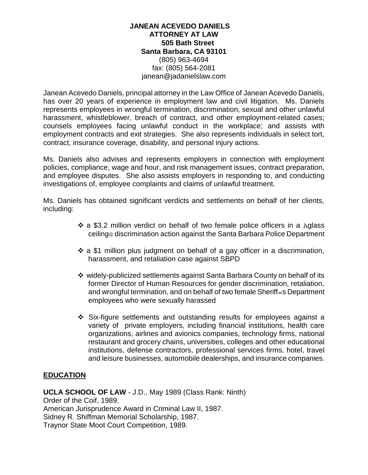#### **JANEAN ACEVEDO DANIELS ATTORNEY AT LAW 505 Bath Street Santa Barbara, CA 93101** (805) 963-4694 fax: (805) 564-2081 janean@jadanielslaw.com

Janean Acevedo Daniels, principal attorney in the Law Office of Janean Acevedo Daniels, has over 20 years of experience in employment law and civil litigation. Ms. Daniels represents employees in wrongful termination, discrimination, sexual and other unlawful harassment, whistleblower, breach of contract, and other employment-related cases; counsels employees facing unlawful conduct in the workplace; and assists with employment contracts and exit strategies. She also represents individuals in select tort, contract, insurance coverage, disability, and personal injury actions.

Ms. Daniels also advises and represents employers in connection with employment policies, compliance, wage and hour, and risk management issues, contract preparation, and employee disputes. She also assists employers in responding to, and conducting investigations of, employee complaints and claims of unlawful treatment.

Ms. Daniels has obtained significant verdicts and settlements on behalf of her clients, including:

- $\div$  a \$3.2 million verdict on behalf of two female police officers in a Aglass ceiling discrimination action against the Santa Barbara Police Department
- $\div$  a \$1 million plus judgment on behalf of a gay officer in a discrimination, harassment, and retaliation case against SBPD
- widely-publicized settlements against Santa Barbara County on behalf of its former Director of Human Resources for gender discrimination, retaliation, and wrongful termination, and on behalf of two female Sheriff=s Department employees who were sexually harassed
- Six-figure settlements and outstanding results for employees against a variety of private employers, including financial institutions, health care organizations, airlines and avionics companies, technology firms, national restaurant and grocery chains, universities, colleges and other educational institutions, defense contractors, professional services firms, hotel, travel and leisure businesses, automobile dealerships, and insurance companies.

#### **EDUCATION**

**UCLA SCHOOL OF LAW** - J.D., May 1989 (Class Rank: Ninth) Order of the Coif, 1989. American Jurisprudence Award in Criminal Law II, 1987. Sidney R. Shiffman Memorial Scholarship, 1987. Traynor State Moot Court Competition, 1989.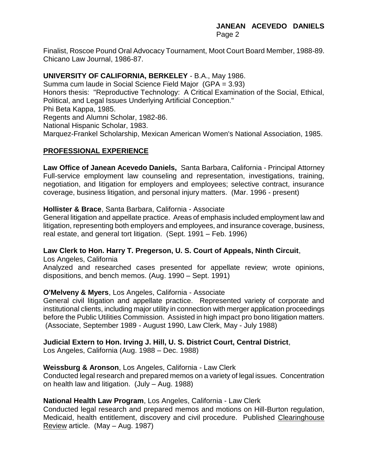Finalist, Roscoe Pound Oral Advocacy Tournament, Moot Court Board Member, 1988-89. Chicano Law Journal, 1986-87.

# **UNIVERSITY OF CALIFORNIA, BERKELEY** - B.A., May 1986.

Summa cum laude in Social Science Field Major (GPA = 3.93) Honors thesis: "Reproductive Technology: A Critical Examination of the Social, Ethical, Political, and Legal Issues Underlying Artificial Conception." Phi Beta Kappa, 1985. Regents and Alumni Scholar, 1982-86. National Hispanic Scholar, 1983. Marquez-Frankel Scholarship, Mexican American Women's National Association, 1985.

# **PROFESSIONAL EXPERIENCE**

**Law Office of Janean Acevedo Daniels,** Santa Barbara, California - Principal Attorney Full-service employment law counseling and representation, investigations, training, negotiation, and litigation for employers and employees; selective contract, insurance coverage, business litigation, and personal injury matters. (Mar. 1996 - present)

#### **Hollister & Brace**, Santa Barbara, California - Associate

General litigation and appellate practice. Areas of emphasis included employment law and litigation, representing both employers and employees, and insurance coverage, business, real estate, and general tort litigation. (Sept. 1991 – Feb. 1996)

#### **Law Clerk to Hon. Harry T. Pregerson, U. S. Court of Appeals, Ninth Circuit**,

Los Angeles, California

Analyzed and researched cases presented for appellate review; wrote opinions, dispositions, and bench memos. (Aug. 1990 – Sept. 1991)

#### **O'Melveny & Myers**, Los Angeles, California - Associate

General civil litigation and appellate practice. Represented variety of corporate and institutional clients, including major utility in connection with merger application proceedings before the Public Utilities Commission. Assisted in high impact pro bono litigation matters. (Associate, September 1989 - August 1990, Law Clerk, May - July 1988)

#### **Judicial Extern to Hon. Irving J. Hill, U. S. District Court, Central District**,

Los Angeles, California (Aug. 1988 – Dec. 1988)

#### **Weissburg & Aronson**, Los Angeles, California - Law Clerk

Conducted legal research and prepared memos on a variety of legal issues. Concentration on health law and litigation. (July – Aug. 1988)

#### **National Health Law Program**, Los Angeles, California - Law Clerk

Conducted legal research and prepared memos and motions on Hill-Burton regulation, Medicaid, health entitlement, discovery and civil procedure. Published Clearinghouse Review article. (May – Aug. 1987)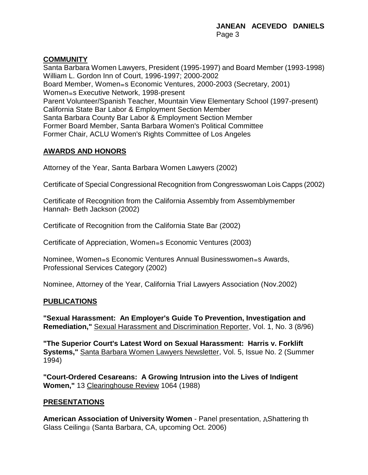# **COMMUNITY**

Santa Barbara Women Lawyers, President (1995-1997) and Board Member (1993-1998) William L. Gordon Inn of Court, 1996-1997; 2000-2002 Board Member, Women=s Economic Ventures, 2000-2003 (Secretary, 2001) Women=s Executive Network, 1998-present Parent Volunteer/Spanish Teacher, Mountain View Elementary School (1997-present) California State Bar Labor & Employment Section Member Santa Barbara County Bar Labor & Employment Section Member Former Board Member, Santa Barbara Women's Political Committee Former Chair, ACLU Women's Rights Committee of Los Angeles

# **AWARDS AND HONORS**

Attorney of the Year, Santa Barbara Women Lawyers (2002)

Certificate of Special Congressional Recognition from Congresswoman Lois Capps (2002)

Certificate of Recognition from the California Assembly from Assemblymember Hannah- Beth Jackson (2002)

Certificate of Recognition from the California State Bar (2002)

Certificate of Appreciation, Women=s Economic Ventures (2003)

Nominee, Women=s Economic Ventures Annual Businesswomen=s Awards, Professional Services Category (2002)

Nominee, Attorney of the Year, California Trial Lawyers Association (Nov.2002)

#### **PUBLICATIONS**

**"Sexual Harassment: An Employer's Guide To Prevention, Investigation and Remediation,"** Sexual Harassment and Discrimination Reporter, Vol. 1, No. 3 (8/96)

**"The Superior Court's Latest Word on Sexual Harassment: Harris v. Forklift Systems,"** Santa Barbara Women Lawyers Newsletter, Vol. 5, Issue No. 2 (Summer 1994)

**"Court-Ordered Cesareans: A Growing Intrusion into the Lives of Indigent Women,"** 13 Clearinghouse Review 1064 (1988)

#### **PRESENTATIONS**

**American Association of University Women - Panel presentation, AShattering th** Glass Ceiling (Santa Barbara, CA, upcoming Oct. 2006)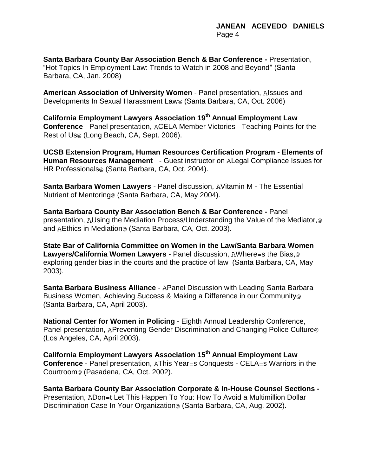**Santa Barbara County Bar Association Bench & Bar Conference -** Presentation, "Hot Topics In Employment Law: Trends to Watch in 2008 and Beyond" (Santa Barbara, CA, Jan. 2008)

**American Association of University Women** - Panel presentation, Alssues and Developments In Sexual Harassment Law<sup>®</sup> (Santa Barbara, CA, Oct. 2006)

**California Employment Lawyers Association 19th Annual Employment Law Conference** - Panel presentation, ACELA Member Victories - Teaching Points for the Rest of Us@ (Long Beach, CA, Sept. 2006).

**UCSB Extension Program, Human Resources Certification Program - Elements of Human Resources Management** - Guest instructor on ALegal Compliance Issues for HR Professionals@ (Santa Barbara, CA, Oct. 2004).

**Santa Barbara Women Lawyers** - Panel discussion, AVitamin M - The Essential Nutrient of Mentoring (Santa Barbara, CA, May 2004).

**Santa Barbara County Bar Association Bench & Bar Conference -** Panel presentation, AUsing the Mediation Process/Understanding the Value of the Mediator, @ and AEthics in Mediation<sup>®</sup> (Santa Barbara, CA, Oct. 2003).

**State Bar of California Committee on Women in the Law/Santa Barbara Women**  Lawyers/California Women Lawyers - Panel discussion, AWhere=s the Bias,@ exploring gender bias in the courts and the practice of law (Santa Barbara, CA, May 2003).

**Santa Barbara Business Alliance** - A Panel Discussion with Leading Santa Barbara Business Women, Achieving Success & Making a Difference in our Community (Santa Barbara, CA, April 2003).

**National Center for Women in Policing** - Eighth Annual Leadership Conference, Panel presentation, APreventing Gender Discrimination and Changing Police Culture<sup>®</sup> (Los Angeles, CA, April 2003).

**California Employment Lawyers Association 15th Annual Employment Law Conference** - Panel presentation, AThis Year=s Conquests - CELA=s Warriors in the Courtroom<sup>®</sup> (Pasadena, CA, Oct. 2002).

**Santa Barbara County Bar Association Corporate & In-House Counsel Sections -** Presentation, ADon=t Let This Happen To You: How To Avoid a Multimillion Dollar Discrimination Case In Your Organization<sup>®</sup> (Santa Barbara, CA, Aug. 2002).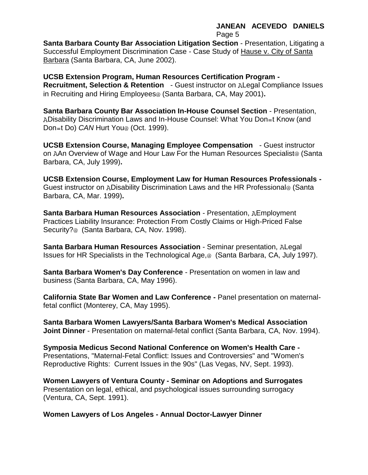# **JANEAN ACEVEDO DANIELS**

Page 5

**Santa Barbara County Bar Association Litigation Section** - Presentation, Litigating a Successful Employment Discrimination Case - Case Study of Hause v. City of Santa Barbara (Santa Barbara, CA, June 2002).

**UCSB Extension Program, Human Resources Certification Program - Recruitment, Selection & Retention** - Guest instructor on ALegal Compliance Issues in Recruiting and Hiring Employees<sup>®</sup> (Santa Barbara, CA, May 2001).

**Santa Barbara County Bar Association In-House Counsel Section** - Presentation, ADisability Discrimination Laws and In-House Counsel: What You Don=t Know (and Don=t Do) *CAN* Hurt You<sup>®</sup> (Oct. 1999).

**UCSB Extension Course, Managing Employee Compensation** - Guest instructor on AAn Overview of Wage and Hour Law For the Human Resources Specialist@ (Santa Barbara, CA, July 1999)**.**

**UCSB Extension Course, Employment Law for Human Resources Professionals -** Guest instructor on ADisability Discrimination Laws and the HR Professional<sup>®</sup> (Santa Barbara, CA, Mar. 1999)**.**

**Santa Barbara Human Resources Association - Presentation, AEmployment** Practices Liability Insurance: Protection From Costly Claims or High-Priced False Security?<sup>@</sup> (Santa Barbara, CA, Nov. 1998).

**Santa Barbara Human Resources Association** - Seminar presentation, ALegal Issues for HR Specialists in the Technological Age,<sup>@</sup> (Santa Barbara, CA, July 1997).

**Santa Barbara Women's Day Conference** - Presentation on women in law and business (Santa Barbara, CA, May 1996).

**California State Bar Women and Law Conference -** Panel presentation on maternalfetal conflict (Monterey, CA, May 1995).

**Santa Barbara Women Lawyers/Santa Barbara Women's Medical Association Joint Dinner** - Presentation on maternal-fetal conflict (Santa Barbara, CA, Nov. 1994).

**Symposia Medicus Second National Conference on Women's Health Care -** Presentations, "Maternal-Fetal Conflict: Issues and Controversies" and "Women's Reproductive Rights: Current Issues in the 90s" (Las Vegas, NV, Sept. 1993).

**Women Lawyers of Ventura County - Seminar on Adoptions and Surrogates** Presentation on legal, ethical, and psychological issues surrounding surrogacy (Ventura, CA, Sept. 1991).

**Women Lawyers of Los Angeles - Annual Doctor-Lawyer Dinner**